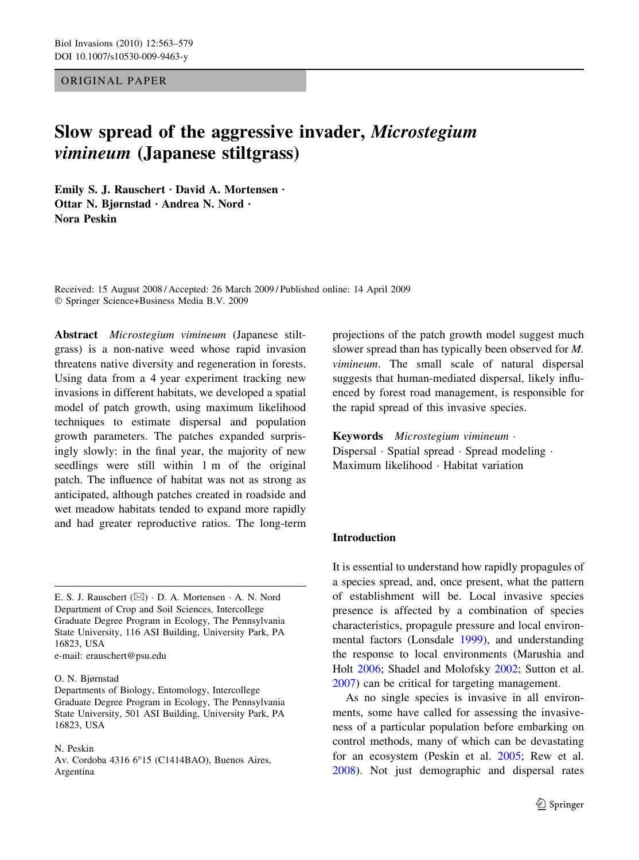### ORIGINAL PAPER

# Slow spread of the aggressive invader, Microstegium vimineum (Japanese stiltgrass)

Emily S. J. Rauschert  $\cdot$  David A. Mortensen  $\cdot$ Ottar N. Bjørnstad · Andrea N. Nord · Nora Peskin

Received: 15 August 2008 / Accepted: 26 March 2009 / Published online: 14 April 2009 Springer Science+Business Media B.V. 2009

Abstract Microstegium vimineum (Japanese stiltgrass) is a non-native weed whose rapid invasion threatens native diversity and regeneration in forests. Using data from a 4 year experiment tracking new invasions in different habitats, we developed a spatial model of patch growth, using maximum likelihood techniques to estimate dispersal and population growth parameters. The patches expanded surprisingly slowly: in the final year, the majority of new seedlings were still within 1 m of the original patch. The influence of habitat was not as strong as anticipated, although patches created in roadside and wet meadow habitats tended to expand more rapidly and had greater reproductive ratios. The long-term

#### O. N. Bjørnstad

Departments of Biology, Entomology, Intercollege Graduate Degree Program in Ecology, The Pennsylvania State University, 501 ASI Building, University Park, PA 16823, USA

N. Peskin

Av. Cordoba 4316 6°15 (C1414BAO), Buenos Aires, Argentina

projections of the patch growth model suggest much slower spread than has typically been observed for M. vimineum. The small scale of natural dispersal suggests that human-mediated dispersal, likely influenced by forest road management, is responsible for the rapid spread of this invasive species.

Keywords Microstegium vimineum ·  $Dispersal \cdot Spatial\ spread \cdot Spread\ modeling \cdot$ Maximum likelihood · Habitat variation

## Introduction

It is essential to understand how rapidly propagules of a species spread, and, once present, what the pattern of establishment will be. Local invasive species presence is affected by a combination of species characteristics, propagule pressure and local environmental factors (Lonsdale [1999\)](#page-15-0), and understanding the response to local environments (Marushia and Holt [2006](#page-15-0); Shadel and Molofsky [2002;](#page-15-0) Sutton et al. [2007\)](#page-15-0) can be critical for targeting management.

As no single species is invasive in all environments, some have called for assessing the invasiveness of a particular population before embarking on control methods, many of which can be devastating for an ecosystem (Peskin et al. [2005](#page-15-0); Rew et al. [2008\)](#page-15-0). Not just demographic and dispersal rates

E. S. J. Rauschert  $(\boxtimes) \cdot$  D. A. Mortensen  $\cdot$  A. N. Nord Department of Crop and Soil Sciences, Intercollege Graduate Degree Program in Ecology, The Pennsylvania State University, 116 ASI Building, University Park, PA 16823, USA e-mail: erauschert@psu.edu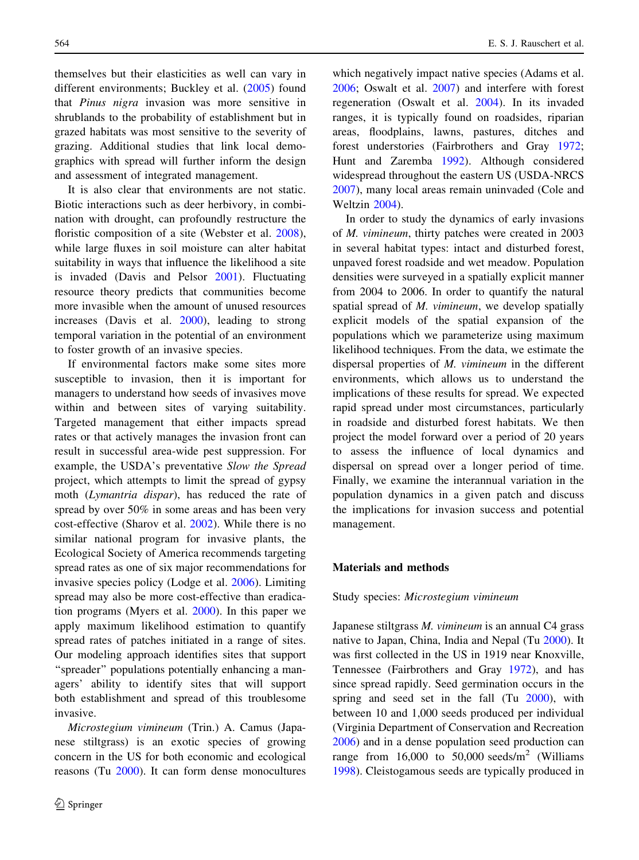themselves but their elasticities as well can vary in different environments; Buckley et al. ([2005\)](#page-14-0) found that Pinus nigra invasion was more sensitive in shrublands to the probability of establishment but in grazed habitats was most sensitive to the severity of grazing. Additional studies that link local demographics with spread will further inform the design and assessment of integrated management.

It is also clear that environments are not static. Biotic interactions such as deer herbivory, in combination with drought, can profoundly restructure the floristic composition of a site (Webster et al. [2008](#page-16-0)), while large fluxes in soil moisture can alter habitat suitability in ways that influence the likelihood a site is invaded (Davis and Pelsor [2001](#page-14-0)). Fluctuating resource theory predicts that communities become more invasible when the amount of unused resources increases (Davis et al. [2000\)](#page-14-0), leading to strong temporal variation in the potential of an environment to foster growth of an invasive species.

If environmental factors make some sites more susceptible to invasion, then it is important for managers to understand how seeds of invasives move within and between sites of varying suitability. Targeted management that either impacts spread rates or that actively manages the invasion front can result in successful area-wide pest suppression. For example, the USDA's preventative Slow the Spread project, which attempts to limit the spread of gypsy moth (Lymantria dispar), has reduced the rate of spread by over 50% in some areas and has been very cost-effective (Sharov et al. [2002\)](#page-15-0). While there is no similar national program for invasive plants, the Ecological Society of America recommends targeting spread rates as one of six major recommendations for invasive species policy (Lodge et al. [2006](#page-15-0)). Limiting spread may also be more cost-effective than eradication programs (Myers et al. [2000\)](#page-15-0). In this paper we apply maximum likelihood estimation to quantify spread rates of patches initiated in a range of sites. Our modeling approach identifies sites that support "spreader" populations potentially enhancing a managers' ability to identify sites that will support both establishment and spread of this troublesome invasive.

Microstegium vimineum (Trin.) A. Camus (Japanese stiltgrass) is an exotic species of growing concern in the US for both economic and ecological reasons (Tu [2000](#page-16-0)). It can form dense monocultures which negatively impact native species (Adams et al. [2006;](#page-14-0) Oswalt et al. [2007](#page-15-0)) and interfere with forest regeneration (Oswalt et al. [2004](#page-15-0)). In its invaded ranges, it is typically found on roadsides, riparian areas, floodplains, lawns, pastures, ditches and forest understories (Fairbrothers and Gray [1972](#page-14-0); Hunt and Zaremba [1992\)](#page-15-0). Although considered widespread throughout the eastern US (USDA-NRCS [2007\)](#page-16-0), many local areas remain uninvaded (Cole and Weltzin [2004\)](#page-14-0).

In order to study the dynamics of early invasions of M. vimineum, thirty patches were created in 2003 in several habitat types: intact and disturbed forest, unpaved forest roadside and wet meadow. Population densities were surveyed in a spatially explicit manner from 2004 to 2006. In order to quantify the natural spatial spread of M. vimineum, we develop spatially explicit models of the spatial expansion of the populations which we parameterize using maximum likelihood techniques. From the data, we estimate the dispersal properties of M. vimineum in the different environments, which allows us to understand the implications of these results for spread. We expected rapid spread under most circumstances, particularly in roadside and disturbed forest habitats. We then project the model forward over a period of 20 years to assess the influence of local dynamics and dispersal on spread over a longer period of time. Finally, we examine the interannual variation in the population dynamics in a given patch and discuss the implications for invasion success and potential management.

## Materials and methods

Study species: Microstegium vimineum

Japanese stiltgrass M. vimineum is an annual C4 grass native to Japan, China, India and Nepal (Tu [2000](#page-16-0)). It was first collected in the US in 1919 near Knoxville, Tennessee (Fairbrothers and Gray [1972\)](#page-14-0), and has since spread rapidly. Seed germination occurs in the spring and seed set in the fall (Tu [2000\)](#page-16-0), with between 10 and 1,000 seeds produced per individual (Virginia Department of Conservation and Recreation [2006\)](#page-16-0) and in a dense population seed production can range from 16,000 to 50,000 seeds/ $m<sup>2</sup>$  (Williams [1998\)](#page-16-0). Cleistogamous seeds are typically produced in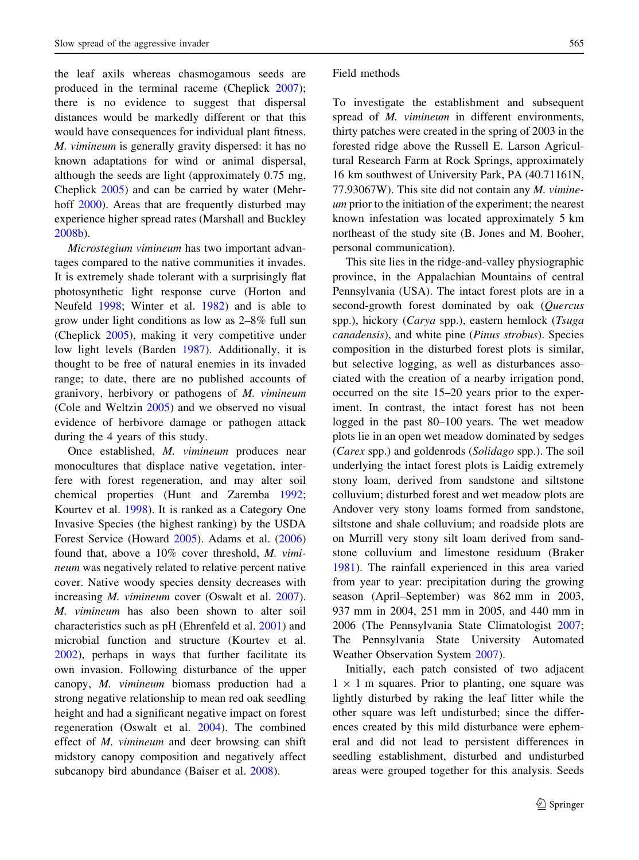the leaf axils whereas chasmogamous seeds are produced in the terminal raceme (Cheplick [2007](#page-14-0)); there is no evidence to suggest that dispersal distances would be markedly different or that this would have consequences for individual plant fitness. M. vimineum is generally gravity dispersed: it has no known adaptations for wind or animal dispersal, although the seeds are light (approximately 0.75 mg, Cheplick [2005\)](#page-14-0) and can be carried by water (Mehrhoff [2000](#page-15-0)). Areas that are frequently disturbed may experience higher spread rates (Marshall and Buckley [2008b\)](#page-15-0).

Microstegium vimineum has two important advantages compared to the native communities it invades. It is extremely shade tolerant with a surprisingly flat photosynthetic light response curve (Horton and Neufeld [1998](#page-14-0); Winter et al. [1982\)](#page-16-0) and is able to grow under light conditions as low as 2–8% full sun (Cheplick [2005\)](#page-14-0), making it very competitive under low light levels (Barden [1987\)](#page-14-0). Additionally, it is thought to be free of natural enemies in its invaded range; to date, there are no published accounts of granivory, herbivory or pathogens of M. vimineum (Cole and Weltzin [2005\)](#page-14-0) and we observed no visual evidence of herbivore damage or pathogen attack during the 4 years of this study.

Once established, M. vimineum produces near monocultures that displace native vegetation, interfere with forest regeneration, and may alter soil chemical properties (Hunt and Zaremba [1992](#page-15-0); Kourtev et al. [1998\)](#page-15-0). It is ranked as a Category One Invasive Species (the highest ranking) by the USDA Forest Service (Howard [2005\)](#page-14-0). Adams et al. ([2006\)](#page-14-0) found that, above a 10% cover threshold, M. vimineum was negatively related to relative percent native cover. Native woody species density decreases with increasing *M. vimineum* cover (Oswalt et al. [2007](#page-15-0)). M. vimineum has also been shown to alter soil characteristics such as pH (Ehrenfeld et al. [2001\)](#page-14-0) and microbial function and structure (Kourtev et al. [2002\)](#page-15-0), perhaps in ways that further facilitate its own invasion. Following disturbance of the upper canopy, M. vimineum biomass production had a strong negative relationship to mean red oak seedling height and had a significant negative impact on forest regeneration (Oswalt et al. [2004](#page-15-0)). The combined effect of M. vimineum and deer browsing can shift midstory canopy composition and negatively affect subcanopy bird abundance (Baiser et al. [2008](#page-14-0)).

#### Field methods

To investigate the establishment and subsequent spread of *M. vimineum* in different environments, thirty patches were created in the spring of 2003 in the forested ridge above the Russell E. Larson Agricultural Research Farm at Rock Springs, approximately 16 km southwest of University Park, PA (40.71161N, 77.93067W). This site did not contain any M. vimineum prior to the initiation of the experiment; the nearest known infestation was located approximately 5 km northeast of the study site (B. Jones and M. Booher, personal communication).

This site lies in the ridge-and-valley physiographic province, in the Appalachian Mountains of central Pennsylvania (USA). The intact forest plots are in a second-growth forest dominated by oak (Quercus spp.), hickory (*Carya* spp.), eastern hemlock (*Tsuga* canadensis), and white pine (Pinus strobus). Species composition in the disturbed forest plots is similar, but selective logging, as well as disturbances associated with the creation of a nearby irrigation pond, occurred on the site 15–20 years prior to the experiment. In contrast, the intact forest has not been logged in the past 80–100 years. The wet meadow plots lie in an open wet meadow dominated by sedges (Carex spp.) and goldenrods (Solidago spp.). The soil underlying the intact forest plots is Laidig extremely stony loam, derived from sandstone and siltstone colluvium; disturbed forest and wet meadow plots are Andover very stony loams formed from sandstone, siltstone and shale colluvium; and roadside plots are on Murrill very stony silt loam derived from sandstone colluvium and limestone residuum (Braker [1981\)](#page-14-0). The rainfall experienced in this area varied from year to year: precipitation during the growing season (April–September) was 862 mm in 2003, 937 mm in 2004, 251 mm in 2005, and 440 mm in 2006 (The Pennsylvania State Climatologist [2007](#page-16-0); The Pennsylvania State University Automated Weather Observation System [2007](#page-16-0)).

Initially, each patch consisted of two adjacent  $1 \times 1$  m squares. Prior to planting, one square was lightly disturbed by raking the leaf litter while the other square was left undisturbed; since the differences created by this mild disturbance were ephemeral and did not lead to persistent differences in seedling establishment, disturbed and undisturbed areas were grouped together for this analysis. Seeds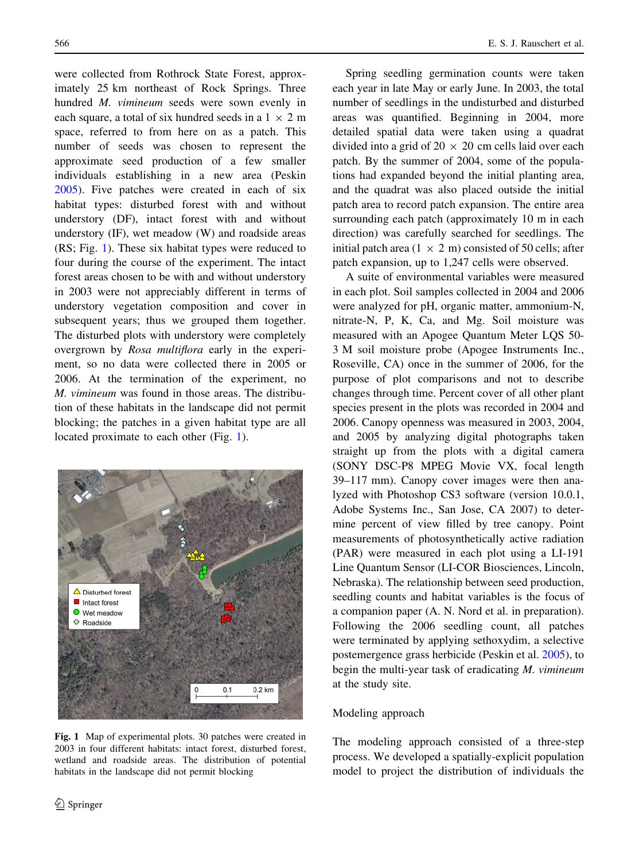were collected from Rothrock State Forest, approximately 25 km northeast of Rock Springs. Three hundred M. vimineum seeds were sown evenly in each square, a total of six hundred seeds in a  $1 \times 2$  m space, referred to from here on as a patch. This number of seeds was chosen to represent the approximate seed production of a few smaller individuals establishing in a new area (Peskin [2005\)](#page-15-0). Five patches were created in each of six habitat types: disturbed forest with and without understory (DF), intact forest with and without understory (IF), wet meadow (W) and roadside areas (RS; Fig. 1). These six habitat types were reduced to four during the course of the experiment. The intact forest areas chosen to be with and without understory in 2003 were not appreciably different in terms of understory vegetation composition and cover in subsequent years; thus we grouped them together. The disturbed plots with understory were completely overgrown by Rosa multiflora early in the experiment, so no data were collected there in 2005 or 2006. At the termination of the experiment, no M. vimineum was found in those areas. The distribution of these habitats in the landscape did not permit blocking; the patches in a given habitat type are all located proximate to each other (Fig. 1).



Fig. 1 Map of experimental plots. 30 patches were created in 2003 in four different habitats: intact forest, disturbed forest, wetland and roadside areas. The distribution of potential habitats in the landscape did not permit blocking

Spring seedling germination counts were taken each year in late May or early June. In 2003, the total number of seedlings in the undisturbed and disturbed areas was quantified. Beginning in 2004, more detailed spatial data were taken using a quadrat divided into a grid of  $20 \times 20$  cm cells laid over each patch. By the summer of 2004, some of the populations had expanded beyond the initial planting area, and the quadrat was also placed outside the initial patch area to record patch expansion. The entire area surrounding each patch (approximately 10 m in each direction) was carefully searched for seedlings. The initial patch area (1  $\times$  2 m) consisted of 50 cells; after patch expansion, up to 1,247 cells were observed.

A suite of environmental variables were measured in each plot. Soil samples collected in 2004 and 2006 were analyzed for pH, organic matter, ammonium-N, nitrate-N, P, K, Ca, and Mg. Soil moisture was measured with an Apogee Quantum Meter LQS 50- 3 M soil moisture probe (Apogee Instruments Inc., Roseville, CA) once in the summer of 2006, for the purpose of plot comparisons and not to describe changes through time. Percent cover of all other plant species present in the plots was recorded in 2004 and 2006. Canopy openness was measured in 2003, 2004, and 2005 by analyzing digital photographs taken straight up from the plots with a digital camera (SONY DSC-P8 MPEG Movie VX, focal length 39–117 mm). Canopy cover images were then analyzed with Photoshop CS3 software (version 10.0.1, Adobe Systems Inc., San Jose, CA 2007) to determine percent of view filled by tree canopy. Point measurements of photosynthetically active radiation (PAR) were measured in each plot using a LI-191 Line Quantum Sensor (LI-COR Biosciences, Lincoln, Nebraska). The relationship between seed production, seedling counts and habitat variables is the focus of a companion paper (A. N. Nord et al. in preparation). Following the 2006 seedling count, all patches were terminated by applying sethoxydim, a selective postemergence grass herbicide (Peskin et al. [2005](#page-15-0)), to begin the multi-year task of eradicating M. vimineum at the study site.

### Modeling approach

The modeling approach consisted of a three-step process. We developed a spatially-explicit population model to project the distribution of individuals the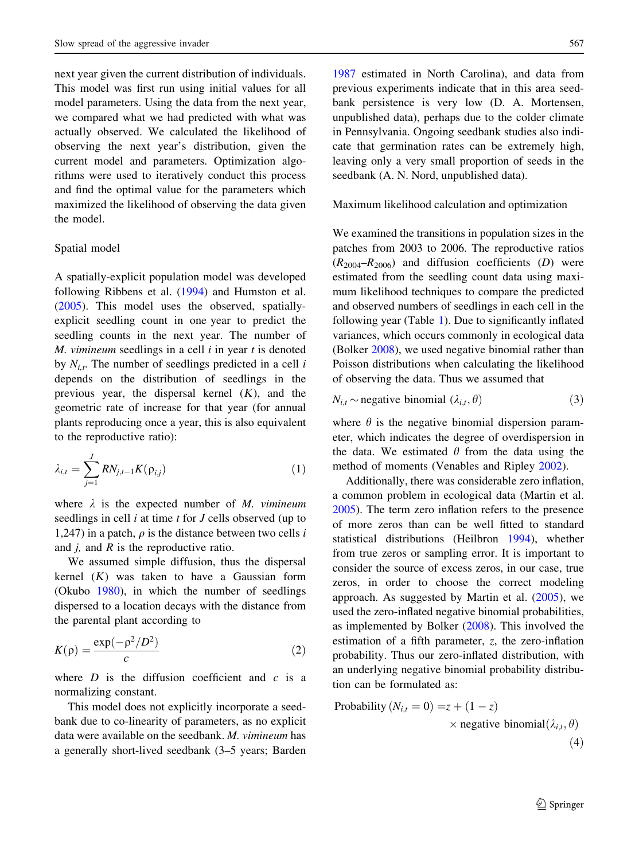next year given the current distribution of individuals. This model was first run using initial values for all model parameters. Using the data from the next year, we compared what we had predicted with what was actually observed. We calculated the likelihood of observing the next year's distribution, given the current model and parameters. Optimization algorithms were used to iteratively conduct this process and find the optimal value for the parameters which maximized the likelihood of observing the data given the model.

#### Spatial model

A spatially-explicit population model was developed following Ribbens et al. ([1994\)](#page-15-0) and Humston et al. [\(2005](#page-15-0)). This model uses the observed, spatiallyexplicit seedling count in one year to predict the seedling counts in the next year. The number of  $M.$  vimineum seedlings in a cell  $i$  in year  $t$  is denoted by  $N_{i,t}$ . The number of seedlings predicted in a cell i depends on the distribution of seedlings in the previous year, the dispersal kernel  $(K)$ , and the geometric rate of increase for that year (for annual plants reproducing once a year, this is also equivalent to the reproductive ratio):

$$
\lambda_{i,t} = \sum_{j=1}^{J} RN_{j,t-1}K(\rho_{i,j})
$$
\n(1)

where  $\lambda$  is the expected number of M. vimineum seedlings in cell *i* at time *t* for *J* cells observed (up to 1,247) in a patch,  $\rho$  is the distance between two cells i and  $j$ , and  $R$  is the reproductive ratio.

We assumed simple diffusion, thus the dispersal kernel  $(K)$  was taken to have a Gaussian form (Okubo [1980\)](#page-15-0), in which the number of seedlings dispersed to a location decays with the distance from the parental plant according to

$$
K(\rho) = \frac{\exp(-\rho^2/D^2)}{c} \tag{2}
$$

where  $D$  is the diffusion coefficient and  $c$  is a normalizing constant.

This model does not explicitly incorporate a seedbank due to co-linearity of parameters, as no explicit data were available on the seedbank. M. vimineum has a generally short-lived seedbank (3–5 years; Barden

[1987](#page-14-0) estimated in North Carolina), and data from previous experiments indicate that in this area seedbank persistence is very low (D. A. Mortensen, unpublished data), perhaps due to the colder climate in Pennsylvania. Ongoing seedbank studies also indicate that germination rates can be extremely high, leaving only a very small proportion of seeds in the seedbank (A. N. Nord, unpublished data).

Maximum likelihood calculation and optimization

We examined the transitions in population sizes in the patches from 2003 to 2006. The reproductive ratios  $(R_{2004}-R_{2006})$  and diffusion coefficients (D) were estimated from the seedling count data using maximum likelihood techniques to compare the predicted and observed numbers of seedlings in each cell in the following year (Table [1\)](#page-5-0). Due to significantly inflated variances, which occurs commonly in ecological data (Bolker [2008](#page-14-0)), we used negative binomial rather than Poisson distributions when calculating the likelihood of observing the data. Thus we assumed that

$$
N_{i,t} \sim \text{negative binomial } (\lambda_{i,t}, \theta) \tag{3}
$$

where  $\theta$  is the negative binomial dispersion parameter, which indicates the degree of overdispersion in the data. We estimated  $\theta$  from the data using the method of moments (Venables and Ripley [2002\)](#page-16-0).

Additionally, there was considerable zero inflation, a common problem in ecological data (Martin et al. [2005\)](#page-15-0). The term zero inflation refers to the presence of more zeros than can be well fitted to standard statistical distributions (Heilbron [1994\)](#page-14-0), whether from true zeros or sampling error. It is important to consider the source of excess zeros, in our case, true zeros, in order to choose the correct modeling approach. As suggested by Martin et al. [\(2005\)](#page-15-0), we used the zero-inflated negative binomial probabilities, as implemented by Bolker [\(2008](#page-14-0)). This involved the estimation of a fifth parameter, z, the zero-inflation probability. Thus our zero-inflated distribution, with an underlying negative binomial probability distribution can be formulated as:

Probability 
$$
(N_{i,t} = 0) = z + (1 - z)
$$
  
× negative binomial $(\lambda_{i,t}, \theta)$   
(4)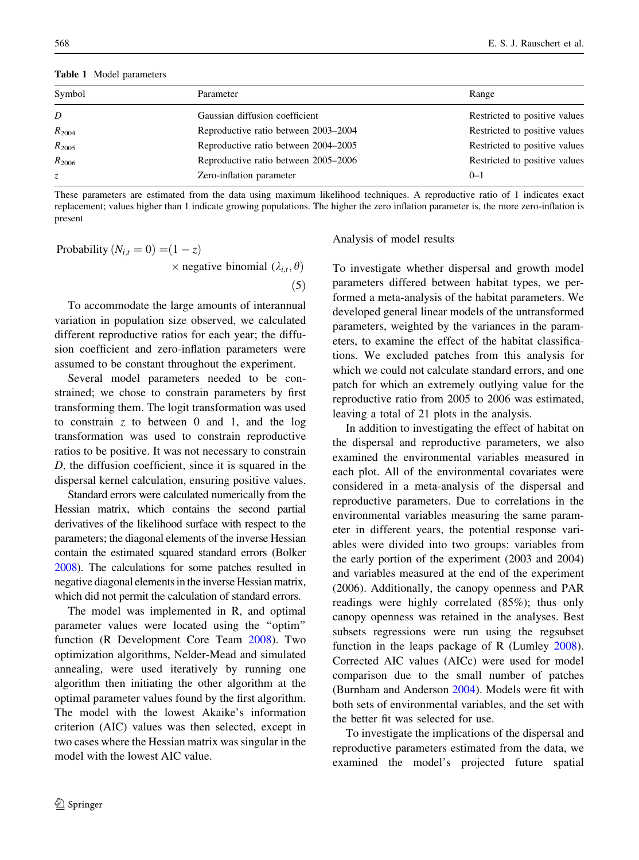<span id="page-5-0"></span>Table 1 Model parameters

| Symbol      | Parameter                            | Range                         |
|-------------|--------------------------------------|-------------------------------|
| D           | Gaussian diffusion coefficient       | Restricted to positive values |
| $R_{2004}$  | Reproductive ratio between 2003–2004 | Restricted to positive values |
| $R_{2005}$  | Reproductive ratio between 2004–2005 | Restricted to positive values |
| $R_{2006}$  | Reproductive ratio between 2005–2006 | Restricted to positive values |
| $Z_{\cdot}$ | Zero-inflation parameter             | $0 - 1$                       |

These parameters are estimated from the data using maximum likelihood techniques. A reproductive ratio of 1 indicates exact replacement; values higher than 1 indicate growing populations. The higher the zero inflation parameter is, the more zero-inflation is present

Probability 
$$
(N_{i,t} = 0) = (1 - z)
$$
  
× negative binomial  $(\lambda_{i,t}, \theta)$   
(5)

To accommodate the large amounts of interannual variation in population size observed, we calculated different reproductive ratios for each year; the diffusion coefficient and zero-inflation parameters were assumed to be constant throughout the experiment.

Several model parameters needed to be constrained; we chose to constrain parameters by first transforming them. The logit transformation was used to constrain  $z$  to between 0 and 1, and the log transformation was used to constrain reproductive ratios to be positive. It was not necessary to constrain D, the diffusion coefficient, since it is squared in the dispersal kernel calculation, ensuring positive values.

Standard errors were calculated numerically from the Hessian matrix, which contains the second partial derivatives of the likelihood surface with respect to the parameters; the diagonal elements of the inverse Hessian contain the estimated squared standard errors (Bolker [2008\)](#page-14-0). The calculations for some patches resulted in negative diagonal elements in the inverse Hessian matrix, which did not permit the calculation of standard errors.

The model was implemented in R, and optimal parameter values were located using the ''optim'' function (R Development Core Team [2008\)](#page-16-0). Two optimization algorithms, Nelder-Mead and simulated annealing, were used iteratively by running one algorithm then initiating the other algorithm at the optimal parameter values found by the first algorithm. The model with the lowest Akaike's information criterion (AIC) values was then selected, except in two cases where the Hessian matrix was singular in the model with the lowest AIC value.

#### Analysis of model results

To investigate whether dispersal and growth model parameters differed between habitat types, we performed a meta-analysis of the habitat parameters. We developed general linear models of the untransformed parameters, weighted by the variances in the parameters, to examine the effect of the habitat classifications. We excluded patches from this analysis for which we could not calculate standard errors, and one patch for which an extremely outlying value for the reproductive ratio from 2005 to 2006 was estimated, leaving a total of 21 plots in the analysis.

In addition to investigating the effect of habitat on the dispersal and reproductive parameters, we also examined the environmental variables measured in each plot. All of the environmental covariates were considered in a meta-analysis of the dispersal and reproductive parameters. Due to correlations in the environmental variables measuring the same parameter in different years, the potential response variables were divided into two groups: variables from the early portion of the experiment (2003 and 2004) and variables measured at the end of the experiment (2006). Additionally, the canopy openness and PAR readings were highly correlated (85%); thus only canopy openness was retained in the analyses. Best subsets regressions were run using the regsubset function in the leaps package of R (Lumley [2008](#page-15-0)). Corrected AIC values (AICc) were used for model comparison due to the small number of patches (Burnham and Anderson [2004](#page-14-0)). Models were fit with both sets of environmental variables, and the set with the better fit was selected for use.

To investigate the implications of the dispersal and reproductive parameters estimated from the data, we examined the model's projected future spatial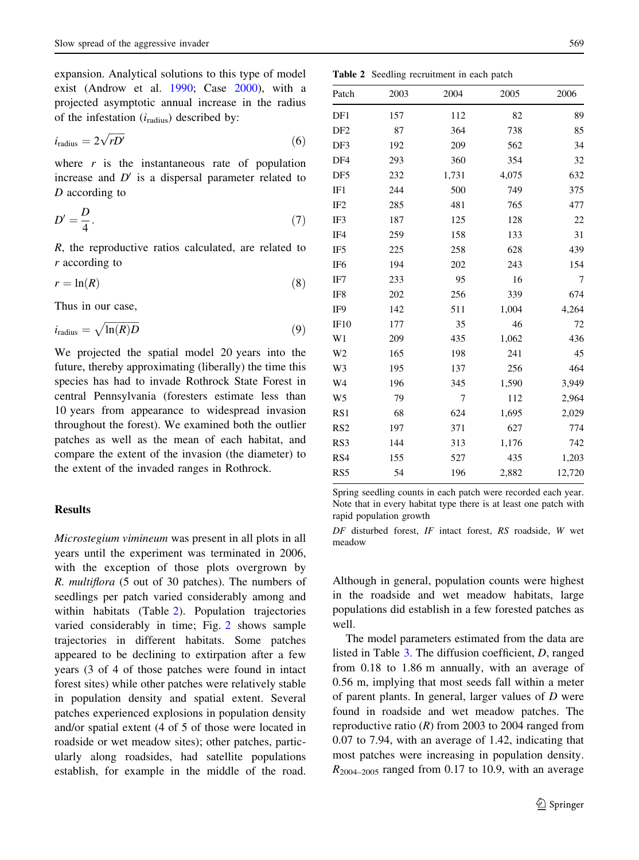expansion. Analytical solutions to this type of model exist (Androw et al. [1990](#page-14-0); Case [2000\)](#page-14-0), with a projected asymptotic annual increase in the radius of the infestation  $(i_{radius})$  described by:

$$
i_{\text{radius}} = 2\sqrt{rD'}\tag{6}
$$

where  $r$  is the instantaneous rate of population increase and  $D'$  is a dispersal parameter related to D according to

$$
D' = \frac{D}{4}.\tag{7}
$$

R, the reproductive ratios calculated, are related to r according to

$$
r = \ln(R) \tag{8}
$$

Thus in our case,

$$
i_{\text{radius}} = \sqrt{\ln(R)D} \tag{9}
$$

We projected the spatial model 20 years into the future, thereby approximating (liberally) the time this species has had to invade Rothrock State Forest in central Pennsylvania (foresters estimate less than 10 years from appearance to widespread invasion throughout the forest). We examined both the outlier patches as well as the mean of each habitat, and compare the extent of the invasion (the diameter) to the extent of the invaded ranges in Rothrock.

### Results

Microstegium vimineum was present in all plots in all years until the experiment was terminated in 2006, with the exception of those plots overgrown by R. multiflora (5 out of 30 patches). The numbers of seedlings per patch varied considerably among and within habitats (Table 2). Population trajectories varied considerably in time; Fig. [2](#page-7-0) shows sample trajectories in different habitats. Some patches appeared to be declining to extirpation after a few years (3 of 4 of those patches were found in intact forest sites) while other patches were relatively stable in population density and spatial extent. Several patches experienced explosions in population density and/or spatial extent (4 of 5 of those were located in roadside or wet meadow sites); other patches, particularly along roadsides, had satellite populations establish, for example in the middle of the road.

| Patch           | 2003 | 2004  | 2005  | 2006   |
|-----------------|------|-------|-------|--------|
| DF1             | 157  | 112   | 82    | 89     |
| DF <sub>2</sub> | 87   | 364   | 738   | 85     |
| DF3             | 192  | 209   | 562   | 34     |
| DF4             | 293  | 360   | 354   | 32     |
| DF <sub>5</sub> | 232  | 1,731 | 4,075 | 632    |
| IF1             | 244  | 500   | 749   | 375    |
| IF <sub>2</sub> | 285  | 481   | 765   | 477    |
| IF3             | 187  | 125   | 128   | 22     |
| IF4             | 259  | 158   | 133   | 31     |
| IF <sub>5</sub> | 225  | 258   | 628   | 439    |
| IF <sub>6</sub> | 194  | 202   | 243   | 154    |
| IF7             | 233  | 95    | 16    | 7      |
| IF8             | 202  | 256   | 339   | 674    |
| IF9             | 142  | 511   | 1,004 | 4,264  |
| IF10            | 177  | 35    | 46    | 72     |
| W1              | 209  | 435   | 1,062 | 436    |
| W <sub>2</sub>  | 165  | 198   | 241   | 45     |
| W <sub>3</sub>  | 195  | 137   | 256   | 464    |
| W <sub>4</sub>  | 196  | 345   | 1,590 | 3,949  |
| W <sub>5</sub>  | 79   | 7     | 112   | 2,964  |
| RS1             | 68   | 624   | 1,695 | 2,029  |
| RS <sub>2</sub> | 197  | 371   | 627   | 774    |
| RS3             | 144  | 313   | 1,176 | 742    |
| RS4             | 155  | 527   | 435   | 1,203  |
| RS <sub>5</sub> | 54   | 196   | 2,882 | 12,720 |
|                 |      |       |       |        |

Spring seedling counts in each patch were recorded each year. Note that in every habitat type there is at least one patch with rapid population growth

DF disturbed forest, IF intact forest, RS roadside, W wet meadow

Although in general, population counts were highest in the roadside and wet meadow habitats, large populations did establish in a few forested patches as well.

The model parameters estimated from the data are listed in Table [3.](#page-8-0) The diffusion coefficient, D, ranged from 0.18 to 1.86 m annually, with an average of 0.56 m, implying that most seeds fall within a meter of parent plants. In general, larger values of D were found in roadside and wet meadow patches. The reproductive ratio  $(R)$  from 2003 to 2004 ranged from 0.07 to 7.94, with an average of 1.42, indicating that most patches were increasing in population density.  $R_{2004-2005}$  ranged from 0.17 to 10.9, with an average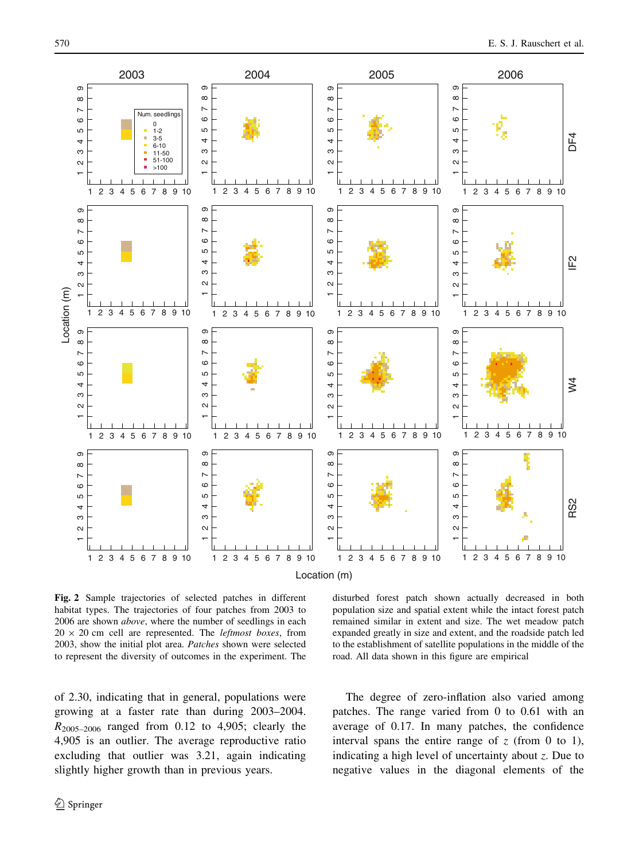<span id="page-7-0"></span>

Location (m)

Fig. 2 Sample trajectories of selected patches in different habitat types. The trajectories of four patches from 2003 to 2006 are shown *above*, where the number of seedlings in each  $20 \times 20$  cm cell are represented. The *leftmost boxes*, from 2003, show the initial plot area. Patches shown were selected to represent the diversity of outcomes in the experiment. The

of 2.30, indicating that in general, populations were growing at a faster rate than during 2003–2004.  $R_{2005-2006}$  ranged from 0.12 to 4,905; clearly the 4,905 is an outlier. The average reproductive ratio excluding that outlier was 3.21, again indicating slightly higher growth than in previous years.

disturbed forest patch shown actually decreased in both population size and spatial extent while the intact forest patch remained similar in extent and size. The wet meadow patch expanded greatly in size and extent, and the roadside patch led to the establishment of satellite populations in the middle of the road. All data shown in this figure are empirical

The degree of zero-inflation also varied among patches. The range varied from 0 to 0.61 with an average of 0.17. In many patches, the confidence interval spans the entire range of  $z$  (from 0 to 1), indicating a high level of uncertainty about  $\zeta$ . Due to negative values in the diagonal elements of the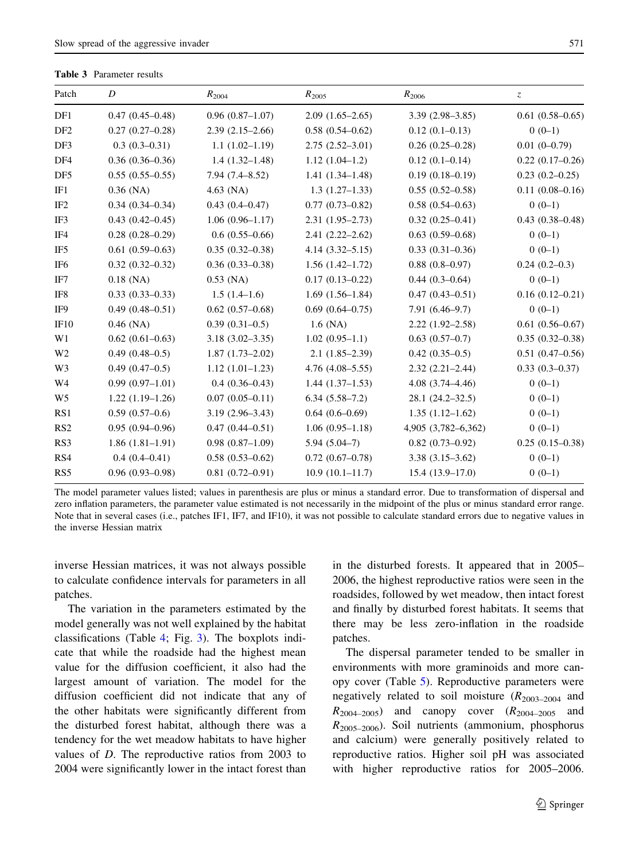<span id="page-8-0"></span>Table 3 Parameter results

| Patch           | D                   | $R_{2004}$          | $R_{2005}$             | $R_{2006}$          | Z.                  |
|-----------------|---------------------|---------------------|------------------------|---------------------|---------------------|
| DF1             | $0.47(0.45 - 0.48)$ | $0.96(0.87-1.07)$   | $2.09(1.65-2.65)$      | $3.39(2.98 - 3.85)$ | $0.61(0.58 - 0.65)$ |
| DF <sub>2</sub> | $0.27(0.27-0.28)$   | $2.39(2.15-2.66)$   | $0.58(0.54 - 0.62)$    | $0.12(0.1 - 0.13)$  | $0(0-1)$            |
| DF3             | $0.3(0.3-0.31)$     | $1.1(1.02 - 1.19)$  | $2.75(2.52 - 3.01)$    | $0.26(0.25-0.28)$   | $0.01(0-0.79)$      |
| DF <sub>4</sub> | $0.36(0.36-0.36)$   | $1.4(1.32 - 1.48)$  | $1.12(1.04-1.2)$       | $0.12(0.1 - 0.14)$  | $0.22(0.17-0.26)$   |
| DF <sub>5</sub> | $0.55(0.55-0.55)$   | $7.94(7.4 - 8.52)$  | $1.41(1.34 - 1.48)$    | $0.19(0.18-0.19)$   | $0.23(0.2-0.25)$    |
| IF1             | $0.36$ (NA)         | $4.63$ (NA)         | $1.3(1.27-1.33)$       | $0.55(0.52 - 0.58)$ | $0.11(0.08 - 0.16)$ |
| IF <sub>2</sub> | $0.34(0.34 - 0.34)$ | $0.43(0.4 - 0.47)$  | $0.77(0.73 - 0.82)$    | $0.58(0.54 - 0.63)$ | $0(0-1)$            |
| IF3             | $0.43(0.42 - 0.45)$ | $1.06(0.96 - 1.17)$ | $2.31(1.95-2.73)$      | $0.32(0.25 - 0.41)$ | $0.43(0.38 - 0.48)$ |
| IF4             | $0.28(0.28 - 0.29)$ | $0.6(0.55-0.66)$    | $2.41(2.22 - 2.62)$    | $0.63(0.59-0.68)$   | $0(0-1)$            |
| IF <sub>5</sub> | $0.61(0.59-0.63)$   | $0.35(0.32 - 0.38)$ | $4.14(3.32 - 5.15)$    | $0.33(0.31-0.36)$   | $0(0-1)$            |
| IF6             | $0.32(0.32 - 0.32)$ | $0.36(0.33 - 0.38)$ | $1.56(1.42 - 1.72)$    | $0.88(0.8-0.97)$    | $0.24(0.2-0.3)$     |
| IF7             | $0.18$ (NA)         | $0.53$ (NA)         | $0.17(0.13 - 0.22)$    | $0.44(0.3-0.64)$    | $0(0-1)$            |
| IF <sub>8</sub> | $0.33(0.33-0.33)$   | $1.5(1.4-1.6)$      | $1.69(1.56-1.84)$      | $0.47(0.43 - 0.51)$ | $0.16(0.12 - 0.21)$ |
| IF9             | $0.49(0.48 - 0.51)$ | $0.62(0.57-0.68)$   | $0.69(0.64 - 0.75)$    | $7.91(6.46-9.7)$    | $0(0-1)$            |
| IF10            | $0.46$ (NA)         | $0.39(0.31-0.5)$    | $1.6$ (NA)             | $2.22(1.92 - 2.58)$ | $0.61(0.56 - 0.67)$ |
| W1              | $0.62(0.61-0.63)$   | $3.18(3.02 - 3.35)$ | $1.02(0.95-1.1)$       | $0.63(0.57-0.7)$    | $0.35(0.32 - 0.38)$ |
| W <sub>2</sub>  | $0.49(0.48-0.5)$    | $1.87(1.73-2.02)$   | $2.1(1.85-2.39)$       | $0.42(0.35-0.5)$    | $0.51(0.47-0.56)$   |
| W <sub>3</sub>  | $0.49(0.47-0.5)$    | $1.12(1.01-1.23)$   | $4.76$ $(4.08 - 5.55)$ | $2.32(2.21 - 2.44)$ | $0.33(0.3 - 0.37)$  |
| W4              | $0.99(0.97-1.01)$   | $0.4(0.36 - 0.43)$  | $1.44(1.37-1.53)$      | $4.08(3.74 - 4.46)$ | $0(0-1)$            |
| W <sub>5</sub>  | $1.22(1.19-1.26)$   | $0.07(0.05 - 0.11)$ | $6.34(5.58-7.2)$       | $28.1(24.2 - 32.5)$ | $0(0-1)$            |
| RS1             | $0.59(0.57-0.6)$    | $3.19(2.96 - 3.43)$ | $0.64(0.6-0.69)$       | $1.35(1.12 - 1.62)$ | $0(0-1)$            |
| RS <sub>2</sub> | $0.95(0.94 - 0.96)$ | $0.47(0.44 - 0.51)$ | $1.06(0.95-1.18)$      | 4,905 (3,782-6,362) | $0(0-1)$            |
| RS3             | $1.86(1.81-1.91)$   | $0.98(0.87-1.09)$   | $5.94(5.04-7)$         | $0.82(0.73-0.92)$   | $0.25(0.15-0.38)$   |
| RS4             | $0.4(0.4 - 0.41)$   | $0.58(0.53 - 0.62)$ | $0.72(0.67-0.78)$      | $3.38(3.15 - 3.62)$ | $0(0-1)$            |
| RS5             | $0.96(0.93 - 0.98)$ | $0.81(0.72 - 0.91)$ | $10.9(10.1-11.7)$      | $15.4(13.9-17.0)$   | $0(0-1)$            |

The model parameter values listed; values in parenthesis are plus or minus a standard error. Due to transformation of dispersal and zero inflation parameters, the parameter value estimated is not necessarily in the midpoint of the plus or minus standard error range. Note that in several cases (i.e., patches IF1, IF7, and IF10), it was not possible to calculate standard errors due to negative values in the inverse Hessian matrix

inverse Hessian matrices, it was not always possible to calculate confidence intervals for parameters in all patches.

The variation in the parameters estimated by the model generally was not well explained by the habitat classifications (Table [4](#page-10-0); Fig. [3\)](#page-9-0). The boxplots indicate that while the roadside had the highest mean value for the diffusion coefficient, it also had the largest amount of variation. The model for the diffusion coefficient did not indicate that any of the other habitats were significantly different from the disturbed forest habitat, although there was a tendency for the wet meadow habitats to have higher values of D. The reproductive ratios from 2003 to 2004 were significantly lower in the intact forest than in the disturbed forests. It appeared that in 2005– 2006, the highest reproductive ratios were seen in the roadsides, followed by wet meadow, then intact forest and finally by disturbed forest habitats. It seems that there may be less zero-inflation in the roadside patches.

The dispersal parameter tended to be smaller in environments with more graminoids and more canopy cover (Table [5\)](#page-11-0). Reproductive parameters were negatively related to soil moisture  $(R_{2003-2004}$  and  $R_{2004-2005}$  and canopy cover  $(R_{2004-2005}$  and  $R_{2005-2006}$ ). Soil nutrients (ammonium, phosphorus and calcium) were generally positively related to reproductive ratios. Higher soil pH was associated with higher reproductive ratios for 2005–2006.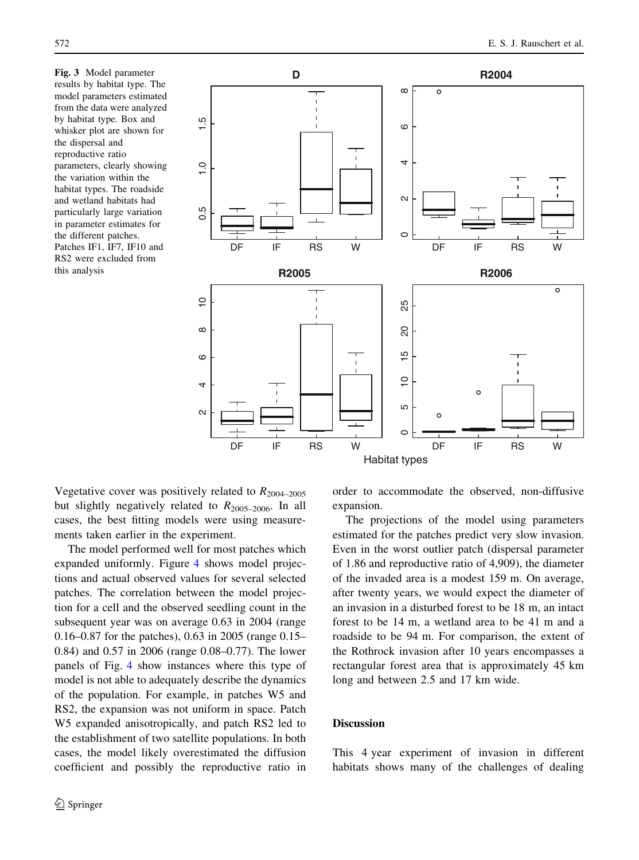<span id="page-9-0"></span>Fig. 3 Model parameter results by habitat type. The model parameters estimated from the data were analyzed by habitat type. Box and whisker plot are shown for the dispersal and reproductive ratio parameters, clearly showing the variation within the habitat types. The roadside and wetland habitats had particularly large variation in parameter estimates for the different patches. Patches IF1, IF7, IF10 and RS2 were excluded from this analysis



Vegetative cover was positively related to  $R_{2004-2005}$ but slightly negatively related to  $R_{2005-2006}$ . In all cases, the best fitting models were using measurements taken earlier in the experiment.

The model performed well for most patches which expanded uniformly. Figure [4](#page-12-0) shows model projections and actual observed values for several selected patches. The correlation between the model projection for a cell and the observed seedling count in the subsequent year was on average 0.63 in 2004 (range 0.16–0.87 for the patches), 0.63 in 2005 (range 0.15– 0.84) and 0.57 in 2006 (range 0.08–0.77). The lower panels of Fig. [4](#page-12-0) show instances where this type of model is not able to adequately describe the dynamics of the population. For example, in patches W5 and RS2, the expansion was not uniform in space. Patch W5 expanded anisotropically, and patch RS2 led to the establishment of two satellite populations. In both cases, the model likely overestimated the diffusion coefficient and possibly the reproductive ratio in

 $\circled{2}$  Springer

order to accommodate the observed, non-diffusive expansion.

The projections of the model using parameters estimated for the patches predict very slow invasion. Even in the worst outlier patch (dispersal parameter of 1.86 and reproductive ratio of 4,909), the diameter of the invaded area is a modest 159 m. On average, after twenty years, we would expect the diameter of an invasion in a disturbed forest to be 18 m, an intact forest to be 14 m, a wetland area to be 41 m and a roadside to be 94 m. For comparison, the extent of the Rothrock invasion after 10 years encompasses a rectangular forest area that is approximately 45 km long and between 2.5 and 17 km wide.

## **Discussion**

This 4 year experiment of invasion in different habitats shows many of the challenges of dealing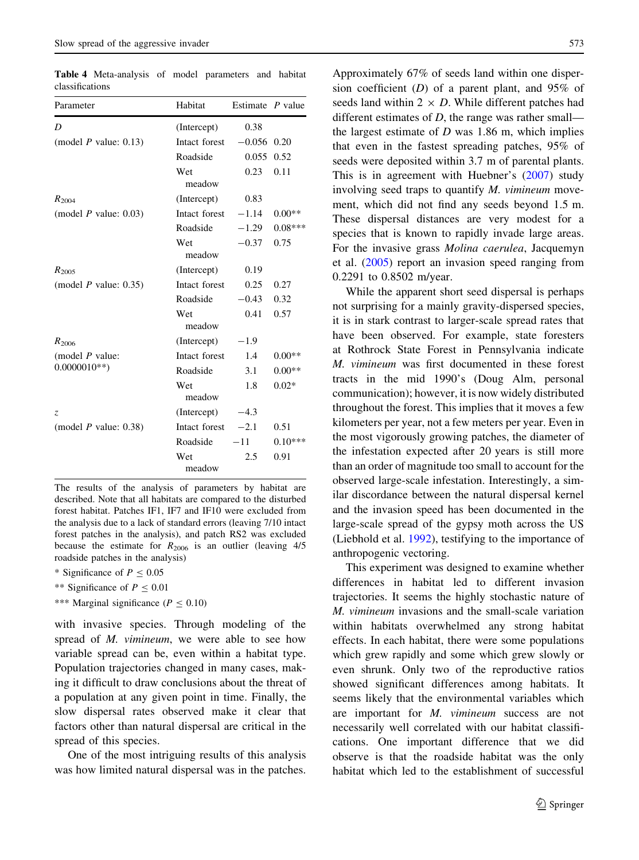| Parameter               | Habitat       | Estimate $P$ value |           |
|-------------------------|---------------|--------------------|-----------|
| D                       | (Intercept)   | 0.38               |           |
| (model $P$ value: 0.13) | Intact forest | $-0.056$ 0.20      |           |
|                         | Roadside      | 0.055              | 0.52      |
|                         | Wet<br>meadow | 0.23               | 0.11      |
| $R_{2004}$              | (Intercept)   | 0.83               |           |
| (model $P$ value: 0.03) | Intact forest | $-1.14$            | $0.00**$  |
|                         | Roadside      | $-1.29$            | $0.08***$ |
|                         | Wet<br>meadow | $-0.37$            | 0.75      |
| $R_{2005}$              | (Intercept)   | 0.19               |           |
| (model $P$ value: 0.35) | Intact forest | 0.25               | 0.27      |
|                         | Roadside      | $-0.43$            | 0.32      |
|                         | Wet<br>meadow | 0.41               | 0.57      |
| $R_{2006}$              | (Intercept)   | $-1.9$             |           |
| (model $P$ value:       | Intact forest | 1.4                | $0.00**$  |
| $0.0000010**$           | Roadside      | 3.1                | $0.00**$  |
|                         | Wet<br>meadow | 1.8                | $0.02*$   |
| Z.                      | (Intercept)   | $-4.3$             |           |
| (model $P$ value: 0.38) | Intact forest | $-2.1$             | 0.51      |
|                         | Roadside      | $-11$              | $0.10***$ |
|                         | Wet<br>meadow | 2.5                | 0.91      |

<span id="page-10-0"></span>Table 4 Meta-analysis of model parameters and habitat classifications

The results of the analysis of parameters by habitat are described. Note that all habitats are compared to the disturbed forest habitat. Patches IF1, IF7 and IF10 were excluded from the analysis due to a lack of standard errors (leaving 7/10 intact forest patches in the analysis), and patch RS2 was excluded because the estimate for  $R_{2006}$  is an outlier (leaving 4/5 roadside patches in the analysis)

\* Significance of  $P \leq 0.05$ 

- \*\* Significance of  $P \le 0.01$
- \*\*\* Marginal significance ( $P \le 0.10$ )

with invasive species. Through modeling of the spread of M. vimineum, we were able to see how variable spread can be, even within a habitat type. Population trajectories changed in many cases, making it difficult to draw conclusions about the threat of a population at any given point in time. Finally, the slow dispersal rates observed make it clear that factors other than natural dispersal are critical in the spread of this species.

One of the most intriguing results of this analysis was how limited natural dispersal was in the patches. Approximately 67% of seeds land within one dispersion coefficient  $(D)$  of a parent plant, and 95% of seeds land within  $2 \times D$ . While different patches had different estimates of  $D$ , the range was rather small the largest estimate of  $D$  was 1.86 m, which implies that even in the fastest spreading patches, 95% of seeds were deposited within 3.7 m of parental plants. This is in agreement with Huebner's ([2007\)](#page-14-0) study involving seed traps to quantify  $M$ . *vimineum* movement, which did not find any seeds beyond 1.5 m. These dispersal distances are very modest for a species that is known to rapidly invade large areas. For the invasive grass Molina caerulea, Jacquemyn et al. [\(2005](#page-15-0)) report an invasion speed ranging from 0.2291 to 0.8502 m/year.

While the apparent short seed dispersal is perhaps not surprising for a mainly gravity-dispersed species, it is in stark contrast to larger-scale spread rates that have been observed. For example, state foresters at Rothrock State Forest in Pennsylvania indicate M. vimineum was first documented in these forest tracts in the mid 1990's (Doug Alm, personal communication); however, it is now widely distributed throughout the forest. This implies that it moves a few kilometers per year, not a few meters per year. Even in the most vigorously growing patches, the diameter of the infestation expected after 20 years is still more than an order of magnitude too small to account for the observed large-scale infestation. Interestingly, a similar discordance between the natural dispersal kernel and the invasion speed has been documented in the large-scale spread of the gypsy moth across the US (Liebhold et al. [1992\)](#page-15-0), testifying to the importance of anthropogenic vectoring.

This experiment was designed to examine whether differences in habitat led to different invasion trajectories. It seems the highly stochastic nature of M. vimineum invasions and the small-scale variation within habitats overwhelmed any strong habitat effects. In each habitat, there were some populations which grew rapidly and some which grew slowly or even shrunk. Only two of the reproductive ratios showed significant differences among habitats. It seems likely that the environmental variables which are important for M. vimineum success are not necessarily well correlated with our habitat classifications. One important difference that we did observe is that the roadside habitat was the only habitat which led to the establishment of successful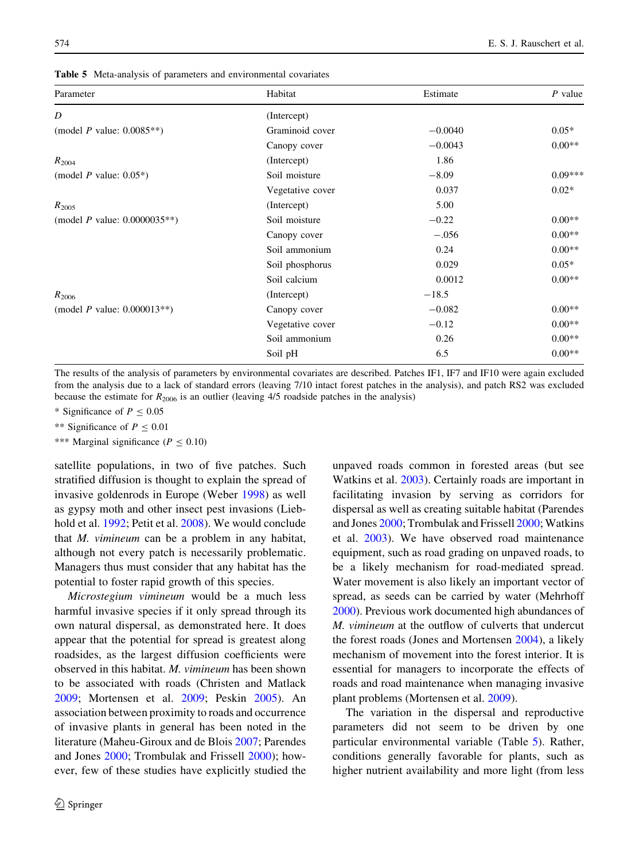<span id="page-11-0"></span>

| Parameter                              | Habitat          | Estimate  | $P$ value |
|----------------------------------------|------------------|-----------|-----------|
| D                                      | (Intercept)      |           |           |
| (model <i>P</i> value: $0.0085**$ )    | Graminoid cover  | $-0.0040$ | $0.05*$   |
|                                        | Canopy cover     | $-0.0043$ | $0.00**$  |
| $R_{2004}$                             | (Intercept)      | 1.86      |           |
| (model <i>P</i> value: $0.05^*$ )      | Soil moisture    | $-8.09$   | $0.09***$ |
|                                        | Vegetative cover | 0.037     | $0.02*$   |
| $R_{2005}$                             | (Intercept)      | 5.00      |           |
| (model <i>P</i> value: $0.0000035**$ ) | Soil moisture    | $-0.22$   | $0.00**$  |
|                                        | Canopy cover     | $-.056$   | $0.00**$  |
|                                        | Soil ammonium    | 0.24      | $0.00**$  |
|                                        | Soil phosphorus  | 0.029     | $0.05*$   |
|                                        | Soil calcium     | 0.0012    | $0.00**$  |
| $R_{2006}$                             | (Intercept)      | $-18.5$   |           |
| (model <i>P</i> value: $0.000013**$ )  | Canopy cover     | $-0.082$  | $0.00**$  |
|                                        | Vegetative cover | $-0.12$   | $0.00**$  |
|                                        | Soil ammonium    | 0.26      | $0.00**$  |
|                                        | Soil pH          | 6.5       | $0.00**$  |

The results of the analysis of parameters by environmental covariates are described. Patches IF1, IF7 and IF10 were again excluded from the analysis due to a lack of standard errors (leaving 7/10 intact forest patches in the analysis), and patch RS2 was excluded because the estimate for  $R_{2006}$  is an outlier (leaving 4/5 roadside patches in the analysis)

\* Significance of  $P \le 0.05$ 

\*\* Significance of  $P \le 0.01$ 

\*\*\* Marginal significance ( $P \le 0.10$ )

satellite populations, in two of five patches. Such stratified diffusion is thought to explain the spread of invasive goldenrods in Europe (Weber [1998\)](#page-16-0) as well as gypsy moth and other insect pest invasions (Liebhold et al. [1992;](#page-15-0) Petit et al. [2008\)](#page-15-0). We would conclude that M. vimineum can be a problem in any habitat, although not every patch is necessarily problematic. Managers thus must consider that any habitat has the potential to foster rapid growth of this species.

Microstegium vimineum would be a much less harmful invasive species if it only spread through its own natural dispersal, as demonstrated here. It does appear that the potential for spread is greatest along roadsides, as the largest diffusion coefficients were observed in this habitat. M. vimineum has been shown to be associated with roads (Christen and Matlack [2009;](#page-14-0) Mortensen et al. [2009](#page-15-0); Peskin [2005\)](#page-15-0). An association between proximity to roads and occurrence of invasive plants in general has been noted in the literature (Maheu-Giroux and de Blois [2007](#page-15-0); Parendes and Jones [2000](#page-15-0); Trombulak and Frissell [2000\)](#page-16-0); however, few of these studies have explicitly studied the

unpaved roads common in forested areas (but see Watkins et al. [2003](#page-16-0)). Certainly roads are important in facilitating invasion by serving as corridors for dispersal as well as creating suitable habitat (Parendes and Jones [2000;](#page-15-0) Trombulak and Frissell [2000;](#page-16-0) Watkins et al. [2003\)](#page-16-0). We have observed road maintenance equipment, such as road grading on unpaved roads, to be a likely mechanism for road-mediated spread. Water movement is also likely an important vector of spread, as seeds can be carried by water (Mehrhoff [2000\)](#page-15-0). Previous work documented high abundances of M. vimineum at the outflow of culverts that undercut the forest roads (Jones and Mortensen [2004](#page-15-0)), a likely mechanism of movement into the forest interior. It is essential for managers to incorporate the effects of roads and road maintenance when managing invasive plant problems (Mortensen et al. [2009\)](#page-15-0).

The variation in the dispersal and reproductive parameters did not seem to be driven by one particular environmental variable (Table 5). Rather, conditions generally favorable for plants, such as higher nutrient availability and more light (from less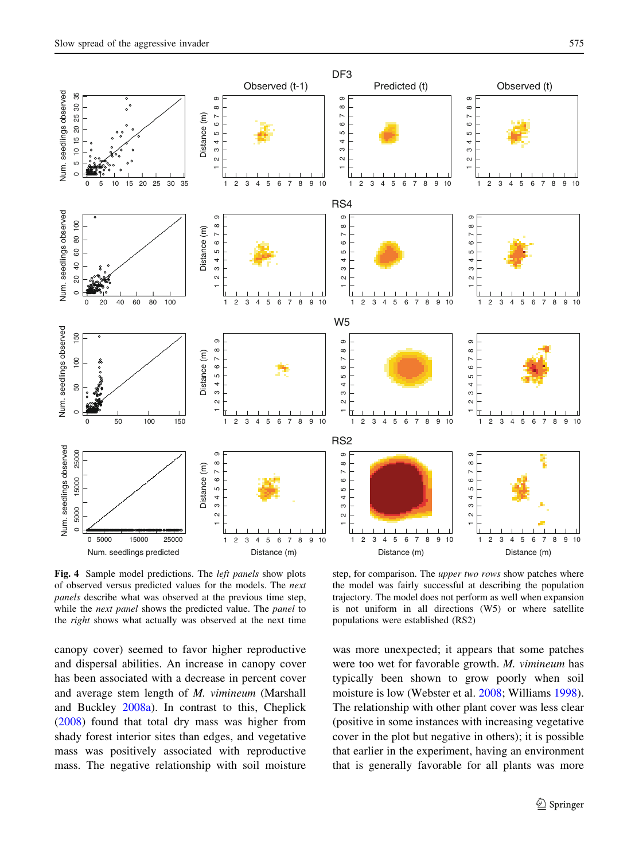<span id="page-12-0"></span>

Fig. 4 Sample model predictions. The *left panels* show plots of observed versus predicted values for the models. The next panels describe what was observed at the previous time step, while the *next panel* shows the predicted value. The *panel* to the right shows what actually was observed at the next time

step, for comparison. The *upper two rows* show patches where the model was fairly successful at describing the population trajectory. The model does not perform as well when expansion is not uniform in all directions (W5) or where satellite populations were established (RS2)

canopy cover) seemed to favor higher reproductive and dispersal abilities. An increase in canopy cover has been associated with a decrease in percent cover and average stem length of M. vimineum (Marshall and Buckley [2008a](#page-15-0)). In contrast to this, Cheplick [\(2008](#page-14-0)) found that total dry mass was higher from shady forest interior sites than edges, and vegetative mass was positively associated with reproductive mass. The negative relationship with soil moisture was more unexpected; it appears that some patches were too wet for favorable growth. M. vimineum has typically been shown to grow poorly when soil moisture is low (Webster et al. [2008](#page-16-0); Williams [1998](#page-16-0)). The relationship with other plant cover was less clear (positive in some instances with increasing vegetative cover in the plot but negative in others); it is possible that earlier in the experiment, having an environment that is generally favorable for all plants was more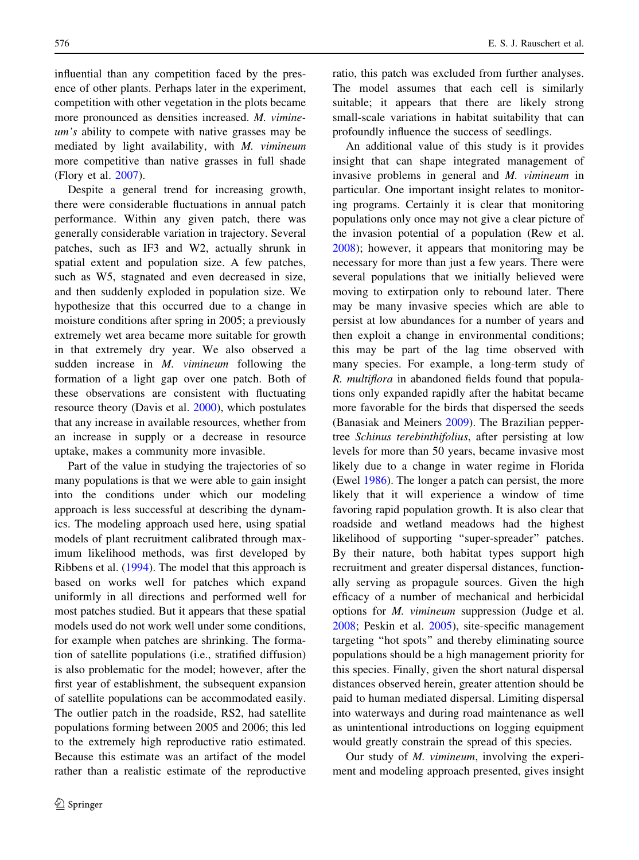influential than any competition faced by the presence of other plants. Perhaps later in the experiment, competition with other vegetation in the plots became more pronounced as densities increased. M. vimineum's ability to compete with native grasses may be mediated by light availability, with M. vimineum more competitive than native grasses in full shade (Flory et al. [2007\)](#page-14-0).

Despite a general trend for increasing growth, there were considerable fluctuations in annual patch performance. Within any given patch, there was generally considerable variation in trajectory. Several patches, such as IF3 and W2, actually shrunk in spatial extent and population size. A few patches, such as W5, stagnated and even decreased in size, and then suddenly exploded in population size. We hypothesize that this occurred due to a change in moisture conditions after spring in 2005; a previously extremely wet area became more suitable for growth in that extremely dry year. We also observed a sudden increase in *M. vimineum* following the formation of a light gap over one patch. Both of these observations are consistent with fluctuating resource theory (Davis et al. [2000\)](#page-14-0), which postulates that any increase in available resources, whether from an increase in supply or a decrease in resource uptake, makes a community more invasible.

Part of the value in studying the trajectories of so many populations is that we were able to gain insight into the conditions under which our modeling approach is less successful at describing the dynamics. The modeling approach used here, using spatial models of plant recruitment calibrated through maximum likelihood methods, was first developed by Ribbens et al. ([1994\)](#page-15-0). The model that this approach is based on works well for patches which expand uniformly in all directions and performed well for most patches studied. But it appears that these spatial models used do not work well under some conditions, for example when patches are shrinking. The formation of satellite populations (i.e., stratified diffusion) is also problematic for the model; however, after the first year of establishment, the subsequent expansion of satellite populations can be accommodated easily. The outlier patch in the roadside, RS2, had satellite populations forming between 2005 and 2006; this led to the extremely high reproductive ratio estimated. Because this estimate was an artifact of the model rather than a realistic estimate of the reproductive ratio, this patch was excluded from further analyses. The model assumes that each cell is similarly suitable; it appears that there are likely strong small-scale variations in habitat suitability that can profoundly influence the success of seedlings.

An additional value of this study is it provides insight that can shape integrated management of invasive problems in general and M. vimineum in particular. One important insight relates to monitoring programs. Certainly it is clear that monitoring populations only once may not give a clear picture of the invasion potential of a population (Rew et al. [2008\)](#page-15-0); however, it appears that monitoring may be necessary for more than just a few years. There were several populations that we initially believed were moving to extirpation only to rebound later. There may be many invasive species which are able to persist at low abundances for a number of years and then exploit a change in environmental conditions; this may be part of the lag time observed with many species. For example, a long-term study of R. multiflora in abandoned fields found that populations only expanded rapidly after the habitat became more favorable for the birds that dispersed the seeds (Banasiak and Meiners [2009\)](#page-14-0). The Brazilian peppertree Schinus terebinthifolius, after persisting at low levels for more than 50 years, became invasive most likely due to a change in water regime in Florida (Ewel [1986](#page-14-0)). The longer a patch can persist, the more likely that it will experience a window of time favoring rapid population growth. It is also clear that roadside and wetland meadows had the highest likelihood of supporting ''super-spreader'' patches. By their nature, both habitat types support high recruitment and greater dispersal distances, functionally serving as propagule sources. Given the high efficacy of a number of mechanical and herbicidal options for M. vimineum suppression (Judge et al. [2008;](#page-15-0) Peskin et al. [2005](#page-15-0)), site-specific management targeting ''hot spots'' and thereby eliminating source populations should be a high management priority for this species. Finally, given the short natural dispersal distances observed herein, greater attention should be paid to human mediated dispersal. Limiting dispersal into waterways and during road maintenance as well as unintentional introductions on logging equipment would greatly constrain the spread of this species.

Our study of M. vimineum, involving the experiment and modeling approach presented, gives insight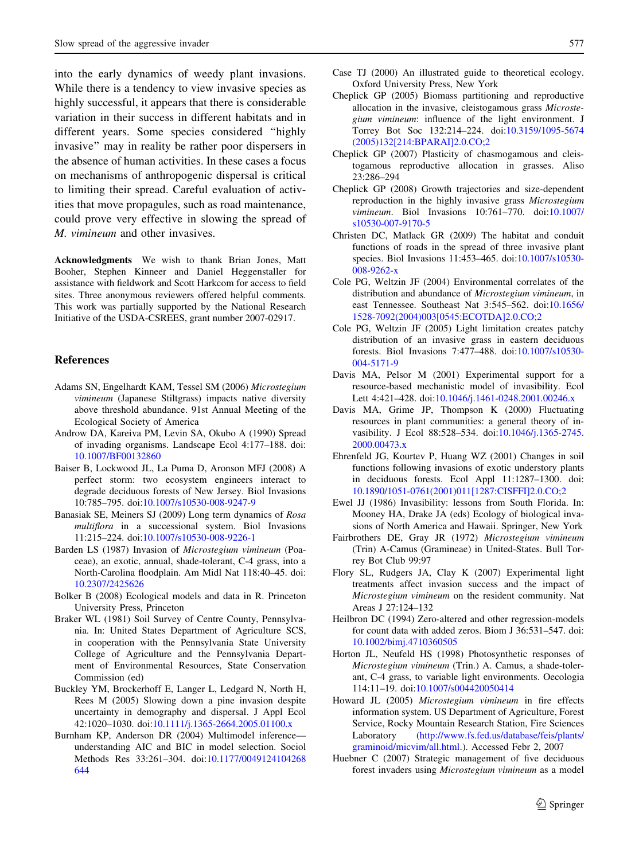<span id="page-14-0"></span>into the early dynamics of weedy plant invasions. While there is a tendency to view invasive species as highly successful, it appears that there is considerable variation in their success in different habitats and in different years. Some species considered ''highly invasive'' may in reality be rather poor dispersers in the absence of human activities. In these cases a focus on mechanisms of anthropogenic dispersal is critical to limiting their spread. Careful evaluation of activities that move propagules, such as road maintenance, could prove very effective in slowing the spread of M. vimineum and other invasives.

Acknowledgments We wish to thank Brian Jones, Matt Booher, Stephen Kinneer and Daniel Heggenstaller for assistance with fieldwork and Scott Harkcom for access to field sites. Three anonymous reviewers offered helpful comments. This work was partially supported by the National Research Initiative of the USDA-CSREES, grant number 2007-02917.

#### References

- Adams SN, Engelhardt KAM, Tessel SM (2006) Microstegium vimineum (Japanese Stiltgrass) impacts native diversity above threshold abundance. 91st Annual Meeting of the Ecological Society of America
- Androw DA, Kareiva PM, Levin SA, Okubo A (1990) Spread of invading organisms. Landscape Ecol 4:177–188. doi: [10.1007/BF00132860](http://dx.doi.org/10.1007/BF00132860)
- Baiser B, Lockwood JL, La Puma D, Aronson MFJ (2008) A perfect storm: two ecosystem engineers interact to degrade deciduous forests of New Jersey. Biol Invasions 10:785–795. doi[:10.1007/s10530-008-9247-9](http://dx.doi.org/10.1007/s10530-008-9247-9)
- Banasiak SE, Meiners SJ (2009) Long term dynamics of Rosa multiflora in a successional system. Biol Invasions 11:215–224. doi[:10.1007/s10530-008-9226-1](http://dx.doi.org/10.1007/s10530-008-9226-1)
- Barden LS (1987) Invasion of Microstegium vimineum (Poaceae), an exotic, annual, shade-tolerant, C-4 grass, into a North-Carolina floodplain. Am Midl Nat 118:40–45. doi: [10.2307/2425626](http://dx.doi.org/10.2307/2425626)
- Bolker B (2008) Ecological models and data in R. Princeton University Press, Princeton
- Braker WL (1981) Soil Survey of Centre County, Pennsylvania. In: United States Department of Agriculture SCS, in cooperation with the Pennsylvania State University College of Agriculture and the Pennsylvania Department of Environmental Resources, State Conservation Commission (ed)
- Buckley YM, Brockerhoff E, Langer L, Ledgard N, North H, Rees M (2005) Slowing down a pine invasion despite uncertainty in demography and dispersal. J Appl Ecol 42:1020–1030. doi:[10.1111/j.1365-2664.2005.01100.x](http://dx.doi.org/10.1111/j.1365-2664.2005.01100.x)
- Burnham KP, Anderson DR (2004) Multimodel inference understanding AIC and BIC in model selection. Sociol Methods Res 33:261–304. doi[:10.1177/0049124104268](http://dx.doi.org/10.1177/0049124104268644) [644](http://dx.doi.org/10.1177/0049124104268644)
- Case TJ (2000) An illustrated guide to theoretical ecology. Oxford University Press, New York
- Cheplick GP (2005) Biomass partitioning and reproductive allocation in the invasive, cleistogamous grass Microstegium vimineum: influence of the light environment. J Torrey Bot Soc 132:214–224. doi:[10.3159/1095-5674](http://dx.doi.org/10.3159/1095-5674(2005)132[214:BPARAI]2.0.CO;2) [\(2005\)132\[214:BPARAI\]2.0.CO;2](http://dx.doi.org/10.3159/1095-5674(2005)132[214:BPARAI]2.0.CO;2)
- Cheplick GP (2007) Plasticity of chasmogamous and cleistogamous reproductive allocation in grasses. Aliso 23:286–294
- Cheplick GP (2008) Growth trajectories and size-dependent reproduction in the highly invasive grass Microstegium vimineum. Biol Invasions 10:761–770. doi[:10.1007/](http://dx.doi.org/10.1007/s10530-007-9170-5) [s10530-007-9170-5](http://dx.doi.org/10.1007/s10530-007-9170-5)
- Christen DC, Matlack GR (2009) The habitat and conduit functions of roads in the spread of three invasive plant species. Biol Invasions 11:453–465. doi[:10.1007/s10530-](http://dx.doi.org/10.1007/s10530-008-9262-x) [008-9262-x](http://dx.doi.org/10.1007/s10530-008-9262-x)
- Cole PG, Weltzin JF (2004) Environmental correlates of the distribution and abundance of Microstegium vimineum, in east Tennessee. Southeast Nat 3:545–562. doi[:10.1656/](http://dx.doi.org/10.1656/1528-7092(2004)003[0545:ECOTDA]2.0.CO;2) [1528-7092\(2004\)003\[0545:ECOTDA\]2.0.CO;2](http://dx.doi.org/10.1656/1528-7092(2004)003[0545:ECOTDA]2.0.CO;2)
- Cole PG, Weltzin JF (2005) Light limitation creates patchy distribution of an invasive grass in eastern deciduous forests. Biol Invasions 7:477–488. doi[:10.1007/s10530-](http://dx.doi.org/10.1007/s10530-004-5171-9) [004-5171-9](http://dx.doi.org/10.1007/s10530-004-5171-9)
- Davis MA, Pelsor M (2001) Experimental support for a resource-based mechanistic model of invasibility. Ecol Lett 4:421–428. doi:[10.1046/j.1461-0248.2001.00246.x](http://dx.doi.org/10.1046/j.1461-0248.2001.00246.x)
- Davis MA, Grime JP, Thompson K (2000) Fluctuating resources in plant communities: a general theory of invasibility. J Ecol 88:528–534. doi[:10.1046/j.1365-2745.](http://dx.doi.org/10.1046/j.1365-2745.2000.00473.x) [2000.00473.x](http://dx.doi.org/10.1046/j.1365-2745.2000.00473.x)
- Ehrenfeld JG, Kourtev P, Huang WZ (2001) Changes in soil functions following invasions of exotic understory plants in deciduous forests. Ecol Appl 11:1287–1300. doi: [10.1890/1051-0761\(2001\)011\[1287:CISFFI\]2.0.CO;2](http://dx.doi.org/10.1890/1051-0761(2001)011[1287:CISFFI]2.0.CO;2)
- Ewel JJ (1986) Invasibility: lessons from South Florida. In: Mooney HA, Drake JA (eds) Ecology of biological invasions of North America and Hawaii. Springer, New York
- Fairbrothers DE, Gray JR (1972) Microstegium vimineum (Trin) A-Camus (Gramineae) in United-States. Bull Torrey Bot Club 99:97
- Flory SL, Rudgers JA, Clay K (2007) Experimental light treatments affect invasion success and the impact of Microstegium vimineum on the resident community. Nat Areas J 27:124–132
- Heilbron DC (1994) Zero-altered and other regression-models for count data with added zeros. Biom J 36:531–547. doi: [10.1002/bimj.4710360505](http://dx.doi.org/10.1002/bimj.4710360505)
- Horton JL, Neufeld HS (1998) Photosynthetic responses of Microstegium vimineum (Trin.) A. Camus, a shade-tolerant, C-4 grass, to variable light environments. Oecologia 114:11–19. doi[:10.1007/s004420050414](http://dx.doi.org/10.1007/s004420050414)
- Howard JL (2005) Microstegium vimineum in fire effects information system. US Department of Agriculture, Forest Service, Rocky Mountain Research Station, Fire Sciences Laboratory [\(http://www.fs.fed.us/database/feis/plants/](http://www.fs.fed.us/database/feis/plants/graminoid/micvim/all.html) [graminoid/micvim/all.html.](http://www.fs.fed.us/database/feis/plants/graminoid/micvim/all.html)). Accessed Febr 2, 2007
- Huebner C (2007) Strategic management of five deciduous forest invaders using Microstegium vimineum as a model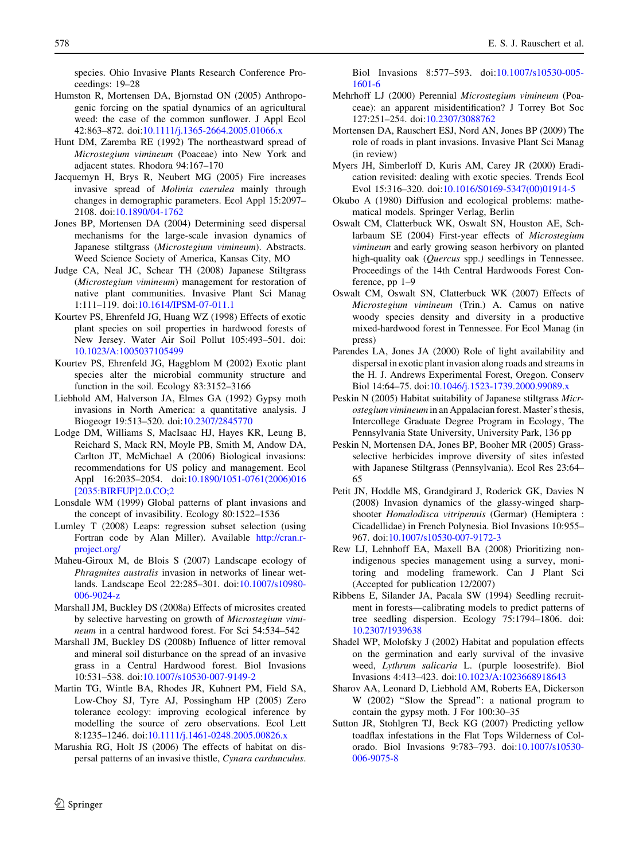<span id="page-15-0"></span>species. Ohio Invasive Plants Research Conference Proceedings: 19–28

- Humston R, Mortensen DA, Bjornstad ON (2005) Anthropogenic forcing on the spatial dynamics of an agricultural weed: the case of the common sunflower. J Appl Ecol 42:863–872. doi[:10.1111/j.1365-2664.2005.01066.x](http://dx.doi.org/10.1111/j.1365-2664.2005.01066.x)
- Hunt DM, Zaremba RE (1992) The northeastward spread of Microstegium vimineum (Poaceae) into New York and adjacent states. Rhodora 94:167–170
- Jacquemyn H, Brys R, Neubert MG (2005) Fire increases invasive spread of Molinia caerulea mainly through changes in demographic parameters. Ecol Appl 15:2097– 2108. doi:[10.1890/04-1762](http://dx.doi.org/10.1890/04-1762)
- Jones BP, Mortensen DA (2004) Determining seed dispersal mechanisms for the large-scale invasion dynamics of Japanese stiltgrass (Microstegium vimineum). Abstracts. Weed Science Society of America, Kansas City, MO
- Judge CA, Neal JC, Schear TH (2008) Japanese Stiltgrass (Microstegium vimineum) management for restoration of native plant communities. Invasive Plant Sci Manag 1:111–119. doi[:10.1614/IPSM-07-011.1](http://dx.doi.org/10.1614/IPSM-07-011.1)
- Kourtev PS, Ehrenfeld JG, Huang WZ (1998) Effects of exotic plant species on soil properties in hardwood forests of New Jersey. Water Air Soil Pollut 105:493–501. doi: [10.1023/A:1005037105499](http://dx.doi.org/10.1023/A:1005037105499)
- Kourtev PS, Ehrenfeld JG, Haggblom M (2002) Exotic plant species alter the microbial community structure and function in the soil. Ecology 83:3152–3166
- Liebhold AM, Halverson JA, Elmes GA (1992) Gypsy moth invasions in North America: a quantitative analysis. J Biogeogr 19:513–520. doi:[10.2307/2845770](http://dx.doi.org/10.2307/2845770)
- Lodge DM, Williams S, MacIsaac HJ, Hayes KR, Leung B, Reichard S, Mack RN, Moyle PB, Smith M, Andow DA, Carlton JT, McMichael A (2006) Biological invasions: recommendations for US policy and management. Ecol Appl 16:2035-2054. doi[:10.1890/1051-0761\(2006\)016](http://dx.doi.org/10.1890/1051-0761(2006)016[2035:BIRFUP]2.0.CO;2) [\[2035:BIRFUP\]2.0.CO;2](http://dx.doi.org/10.1890/1051-0761(2006)016[2035:BIRFUP]2.0.CO;2)
- Lonsdale WM (1999) Global patterns of plant invasions and the concept of invasibility. Ecology 80:1522–1536
- Lumley T (2008) Leaps: regression subset selection (using Fortran code by Alan Miller). Available [http://cran.r](http://cran.r-project.org/)[project.org/](http://cran.r-project.org/)
- Maheu-Giroux M, de Blois S (2007) Landscape ecology of Phragmites australis invasion in networks of linear wetlands. Landscape Ecol 22:285–301. doi[:10.1007/s10980-](http://dx.doi.org/10.1007/s10980-006-9024-z) [006-9024-z](http://dx.doi.org/10.1007/s10980-006-9024-z)
- Marshall JM, Buckley DS (2008a) Effects of microsites created by selective harvesting on growth of Microstegium vimineum in a central hardwood forest. For Sci 54:534–542
- Marshall JM, Buckley DS (2008b) Influence of litter removal and mineral soil disturbance on the spread of an invasive grass in a Central Hardwood forest. Biol Invasions 10:531–538. doi[:10.1007/s10530-007-9149-2](http://dx.doi.org/10.1007/s10530-007-9149-2)
- Martin TG, Wintle BA, Rhodes JR, Kuhnert PM, Field SA, Low-Choy SJ, Tyre AJ, Possingham HP (2005) Zero tolerance ecology: improving ecological inference by modelling the source of zero observations. Ecol Lett 8:1235–1246. doi:[10.1111/j.1461-0248.2005.00826.x](http://dx.doi.org/10.1111/j.1461-0248.2005.00826.x)
- Marushia RG, Holt JS (2006) The effects of habitat on dispersal patterns of an invasive thistle, Cynara cardunculus.

Biol Invasions 8:577–593. doi[:10.1007/s10530-005-](http://dx.doi.org/10.1007/s10530-005-1601-6) [1601-6](http://dx.doi.org/10.1007/s10530-005-1601-6)

- Mehrhoff LJ (2000) Perennial Microstegium vimineum (Poaceae): an apparent misidentification? J Torrey Bot Soc 127:251–254. doi:[10.2307/3088762](http://dx.doi.org/10.2307/3088762)
- Mortensen DA, Rauschert ESJ, Nord AN, Jones BP (2009) The role of roads in plant invasions. Invasive Plant Sci Manag (in review)
- Myers JH, Simberloff D, Kuris AM, Carey JR (2000) Eradication revisited: dealing with exotic species. Trends Ecol Evol 15:316–320. doi[:10.1016/S0169-5347\(00\)01914-5](http://dx.doi.org/10.1016/S0169-5347(00)01914-5)
- Okubo A (1980) Diffusion and ecological problems: mathematical models. Springer Verlag, Berlin
- Oswalt CM, Clatterbuck WK, Oswalt SN, Houston AE, Schlarbaum SE (2004) First-year effects of Microstegium vimineum and early growing season herbivory on planted high-quality oak (Quercus spp.) seedlings in Tennessee. Proceedings of the 14th Central Hardwoods Forest Conference, pp 1–9
- Oswalt CM, Oswalt SN, Clatterbuck WK (2007) Effects of Microstegium vimineum (Trin.) A. Camus on native woody species density and diversity in a productive mixed-hardwood forest in Tennessee. For Ecol Manag (in press)
- Parendes LA, Jones JA (2000) Role of light availability and dispersal in exotic plant invasion along roads and streams in the H. J. Andrews Experimental Forest, Oregon. Conserv Biol 14:64–75. doi[:10.1046/j.1523-1739.2000.99089.x](http://dx.doi.org/10.1046/j.1523-1739.2000.99089.x)
- Peskin N (2005) Habitat suitability of Japanese stiltgrass Microstegium vimineum in an Appalacian forest. Master's thesis, Intercollege Graduate Degree Program in Ecology, The Pennsylvania State University, University Park, 136 pp
- Peskin N, Mortensen DA, Jones BP, Booher MR (2005) Grassselective herbicides improve diversity of sites infested with Japanese Stiltgrass (Pennsylvania). Ecol Res 23:64– 65
- Petit JN, Hoddle MS, Grandgirard J, Roderick GK, Davies N (2008) Invasion dynamics of the glassy-winged sharpshooter Homalodisca vitripennis (Germar) (Hemiptera : Cicadellidae) in French Polynesia. Biol Invasions 10:955– 967. doi:[10.1007/s10530-007-9172-3](http://dx.doi.org/10.1007/s10530-007-9172-3)
- Rew LJ, Lehnhoff EA, Maxell BA (2008) Prioritizing nonindigenous species management using a survey, monitoring and modeling framework. Can J Plant Sci (Accepted for publication 12/2007)
- Ribbens E, Silander JA, Pacala SW (1994) Seedling recruitment in forests—calibrating models to predict patterns of tree seedling dispersion. Ecology 75:1794–1806. doi: [10.2307/1939638](http://dx.doi.org/10.2307/1939638)
- Shadel WP, Molofsky J (2002) Habitat and population effects on the germination and early survival of the invasive weed, Lythrum salicaria L. (purple loosestrife). Biol Invasions 4:413–423. doi:[10.1023/A:1023668918643](http://dx.doi.org/10.1023/A:1023668918643)
- Sharov AA, Leonard D, Liebhold AM, Roberts EA, Dickerson W (2002) ''Slow the Spread'': a national program to contain the gypsy moth. J For 100:30–35
- Sutton JR, Stohlgren TJ, Beck KG (2007) Predicting yellow toadflax infestations in the Flat Tops Wilderness of Colorado. Biol Invasions 9:783–793. doi[:10.1007/s10530-](http://dx.doi.org/10.1007/s10530-006-9075-8) [006-9075-8](http://dx.doi.org/10.1007/s10530-006-9075-8)